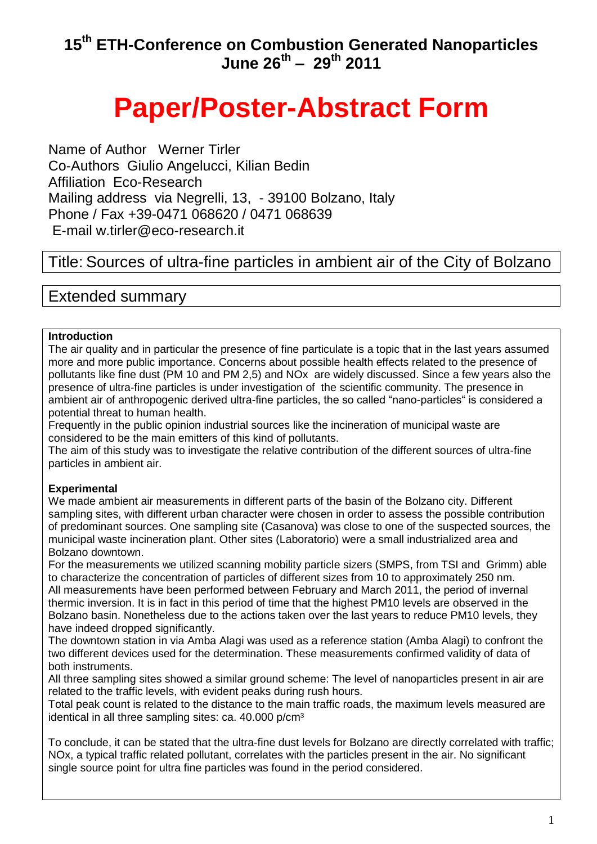# **Paper/Poster-Abstract Form**

Name of Author Werner Tirler Co-Authors Giulio Angelucci, Kilian Bedin Affiliation Eco-Research Mailing address via Negrelli, 13, - 39100 Bolzano, Italy Phone / Fax +39-0471 068620 / 0471 068639 E-mail w.tirler@eco-research.it

## Title: Sources of ultra-fine particles in ambient air of the City of Bolzano

## Extended summary

## **Introduction**

The air quality and in particular the presence of fine particulate is a topic that in the last years assumed more and more public importance. Concerns about possible health effects related to the presence of pollutants like fine dust (PM 10 and PM 2,5) and NOx are widely discussed. Since a few years also the presence of ultra-fine particles is under investigation of the scientific community. The presence in ambient air of anthropogenic derived ultra-fine particles, the so called "nano-particles" is considered a potential threat to human health.

Frequently in the public opinion industrial sources like the incineration of municipal waste are considered to be the main emitters of this kind of pollutants.

The aim of this study was to investigate the relative contribution of the different sources of ultra-fine particles in ambient air.

## **Experimental**

We made ambient air measurements in different parts of the basin of the Bolzano city. Different sampling sites, with different urban character were chosen in order to assess the possible contribution of predominant sources. One sampling site (Casanova) was close to one of the suspected sources, the municipal waste incineration plant. Other sites (Laboratorio) were a small industrialized area and Bolzano downtown.

For the measurements we utilized scanning mobility particle sizers (SMPS, from TSI and Grimm) able to characterize the concentration of particles of different sizes from 10 to approximately 250 nm. All measurements have been performed between February and March 2011, the period of invernal thermic inversion. It is in fact in this period of time that the highest PM10 levels are observed in the Bolzano basin. Nonetheless due to the actions taken over the last years to reduce PM10 levels, they have indeed dropped significantly.

The downtown station in via Amba Alagi was used as a reference station (Amba Alagi) to confront the two different devices used for the determination. These measurements confirmed validity of data of both instruments.

All three sampling sites showed a similar ground scheme: The level of nanoparticles present in air are related to the traffic levels, with evident peaks during rush hours.

Total peak count is related to the distance to the main traffic roads, the maximum levels measured are identical in all three sampling sites: ca. 40.000 p/cm<sup>3</sup>

To conclude, it can be stated that the ultra-fine dust levels for Bolzano are directly correlated with traffic; NOx, a typical traffic related pollutant, correlates with the particles present in the air. No significant single source point for ultra fine particles was found in the period considered.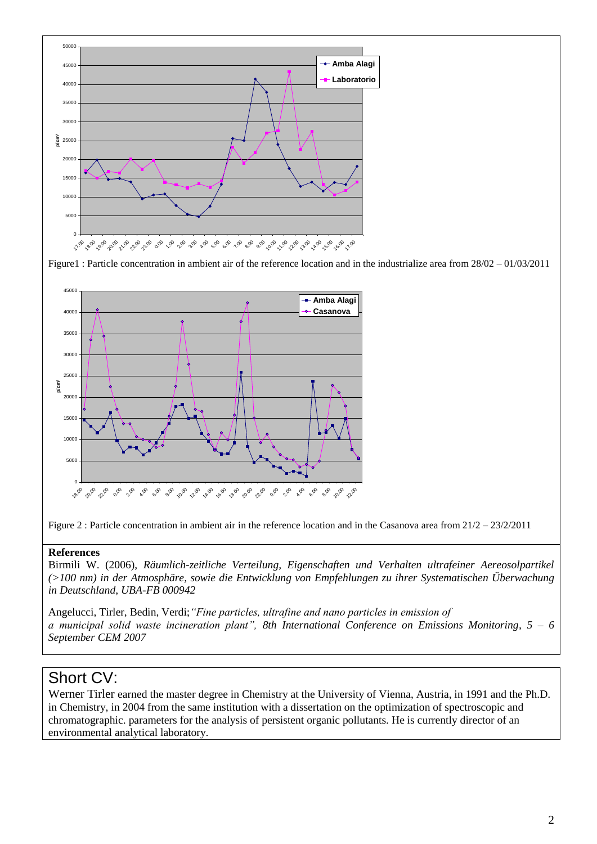

Figure1 : Particle concentration in ambient air of the reference location and in the industrialize area from 28/02 – 01/03/2011



Figure 2 : Particle concentration in ambient air in the reference location and in the Casanova area from 21/2 – 23/2/2011

### **References**

Birmili W. (2006), *Räumlich-zeitliche Verteilung, Eigenschaften und Verhalten ultrafeiner Aereosolpartikel (>100 nm) in der Atmosphäre, sowie die Entwicklung von Empfehlungen zu ihrer Systematischen Überwachung in Deutschland*, *UBA-FB 000942*

Angelucci, Tirler, Bedin, Verdi;*"Fine particles, ultrafine and nano particles in emission of a municipal solid waste incineration plant", 8th International Conference on Emissions Monitoring, 5 – 6 September CEM 2007* 

## Short CV:

Werner Tirler earned the master degree in Chemistry at the University of Vienna, Austria, in 1991 and the Ph.D. in Chemistry, in 2004 from the same institution with a dissertation on the optimization of spectroscopic and chromatographic. parameters for the analysis of persistent organic pollutants. He is currently director of an environmental analytical laboratory.